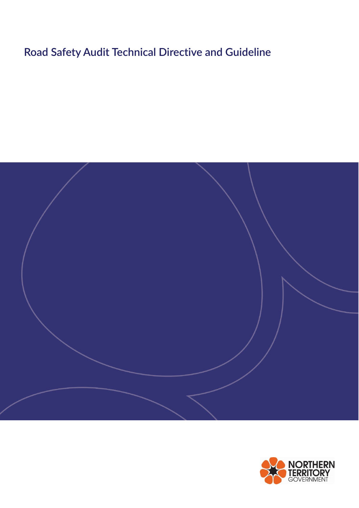# **Road Safety Audit Technical Directive and Guideline**



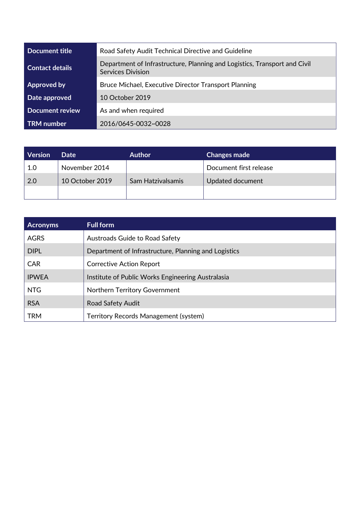| Document title         | Road Safety Audit Technical Directive and Guideline                                                   |  |  |
|------------------------|-------------------------------------------------------------------------------------------------------|--|--|
| <b>Contact details</b> | Department of Infrastructure, Planning and Logistics, Transport and Civil<br><b>Services Division</b> |  |  |
| Approved by            | Bruce Michael, Executive Director Transport Planning                                                  |  |  |
| Date approved          | 10 October 2019                                                                                       |  |  |
| <b>Document review</b> | As and when required                                                                                  |  |  |
| <b>TRM</b> number      | 2016/0645-0032~0028                                                                                   |  |  |

| <b>Version</b> | <b>Date</b>     | <b>Author</b>     | <b>Changes made</b>    |
|----------------|-----------------|-------------------|------------------------|
| 1.0            | November 2014   |                   | Document first release |
| $\sqrt{2.0}$   | 10 October 2019 | Sam Hatzivalsamis | Updated document       |
|                |                 |                   |                        |

| <b>Acronyms</b> | <b>Full form</b>                                     |
|-----------------|------------------------------------------------------|
| <b>AGRS</b>     | Austroads Guide to Road Safety                       |
| <b>DIPL</b>     | Department of Infrastructure, Planning and Logistics |
| <b>CAR</b>      | <b>Corrective Action Report</b>                      |
| <b>IPWEA</b>    | Institute of Public Works Engineering Australasia    |
| <b>NTG</b>      | <b>Northern Territory Government</b>                 |
| <b>RSA</b>      | Road Safety Audit                                    |
| <b>TRM</b>      | Territory Records Management (system)                |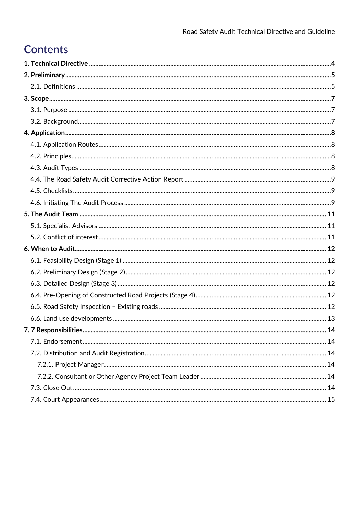# **Contents**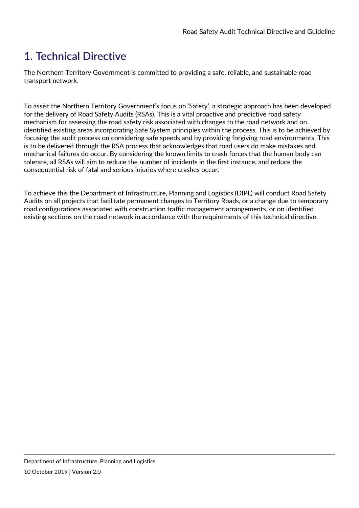# <span id="page-3-0"></span>**1. Technical Directive**

The Northern Territory Government is committed to providing a safe, reliable, and sustainable road transport network.

To assist the Northern Territory Government's focus on 'Safety', a strategic approach has been developed for the delivery of Road Safety Audits (RSAs). This is a vital proactive and predictive road safety mechanism for assessing the road safety risk associated with changes to the road network and on identified existing areas incorporating Safe System principles within the process. This is to be achieved by focusing the audit process on considering safe speeds and by providing forgiving road environments. This is to be delivered through the RSA process that acknowledges that road users do make mistakes and mechanical failures do occur. By considering the known limits to crash forces that the human body can tolerate, all RSAs will aim to reduce the number of incidents in the first instance, and reduce the consequential risk of fatal and serious injuries where crashes occur.

To achieve this the Department of Infrastructure, Planning and Logistics (DIPL) will conduct Road Safety Audits on all projects that facilitate permanent changes to Territory Roads, or a change due to temporary road configurations associated with construction traffic management arrangements, or on identified existing sections on the road network in accordance with the requirements of this technical directive.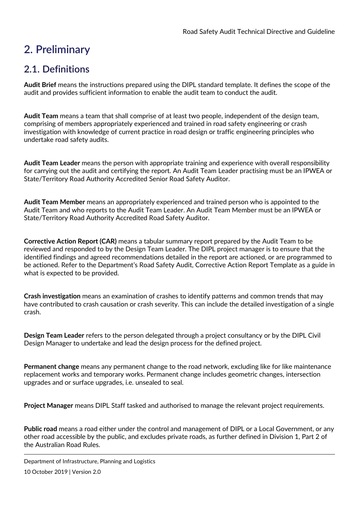# <span id="page-4-0"></span>**2. Preliminary**

### <span id="page-4-1"></span>**2.1. Definitions**

**Audit Brief** means the instructions prepared using the DIPL standard template. It defines the scope of the audit and provides sufficient information to enable the audit team to conduct the audit.

**Audit Team** means a team that shall comprise of at least two people, independent of the design team, comprising of members appropriately experienced and trained in road safety engineering or crash investigation with knowledge of current practice in road design or traffic engineering principles who undertake road safety audits.

**Audit Team Leader** means the person with appropriate training and experience with overall responsibility for carrying out the audit and certifying the report. An Audit Team Leader practising must be an IPWEA or State/Territory Road Authority Accredited Senior Road Safety Auditor.

**Audit Team Member** means an appropriately experienced and trained person who is appointed to the Audit Team and who reports to the Audit Team Leader. An Audit Team Member must be an IPWEA or State/Territory Road Authority Accredited Road Safety Auditor.

**Corrective Action Report (CAR)** means a tabular summary report prepared by the Audit Team to be reviewed and responded to by the Design Team Leader. The DIPL project manager is to ensure that the identified findings and agreed recommendations detailed in the report are actioned, or are programmed to be actioned. Refer to the Department's Road Safety Audit, Corrective Action Report Template as a guide in what is expected to be provided.

**Crash investigation** means an examination of crashes to identify patterns and common trends that may have contributed to crash causation or crash severity. This can include the detailed investigation of a single crash.

**Design Team Leader** refers to the person delegated through a project consultancy or by the DIPL Civil Design Manager to undertake and lead the design process for the defined project.

**Permanent change** means any permanent change to the road network, excluding like for like maintenance replacement works and temporary works. Permanent change includes geometric changes, intersection upgrades and or surface upgrades, i.e. unsealed to seal.

**Project Manager** means DIPL Staff tasked and authorised to manage the relevant project requirements.

**Public road** means a road either under the control and management of DIPL or a Local Government, or any other road accessible by the public, and excludes private roads, as further defined in Division 1, Part 2 of the Australian Road Rules.

Department of Infrastructure, Planning and Logistics 10 October 2019 | Version 2.0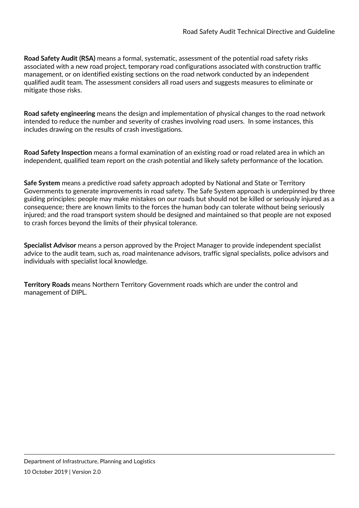**Road Safety Audit (RSA)** means a formal, systematic, assessment of the potential road safety risks associated with a new road project, temporary road configurations associated with construction traffic management, or on identified existing sections on the road network conducted by an independent qualified audit team. The assessment considers all road users and suggests measures to eliminate or mitigate those risks.

**Road safety engineering** means the design and implementation of physical changes to the road network intended to reduce the number and severity of crashes involving road users. In some instances, this includes drawing on the results of crash investigations.

**Road Safety Inspection** means a formal examination of an existing road or road related area in which an independent, qualified team report on the crash potential and likely safety performance of the location.

**Safe System** means a predictive road safety approach adopted by National and State or Territory Governments to generate improvements in road safety. The Safe System approach is underpinned by three guiding principles: people may make mistakes on our roads but should not be killed or seriously injured as a consequence; there are known limits to the forces the human body can tolerate without being seriously injured; and the road transport system should be designed and maintained so that people are not exposed to crash forces beyond the limits of their physical tolerance.

**Specialist Advisor** means a person approved by the Project Manager to provide independent specialist advice to the audit team, such as, road maintenance advisors, traffic signal specialists, police advisors and individuals with specialist local knowledge.

**Territory Roads** means Northern Territory Government roads which are under the control and management of DIPL.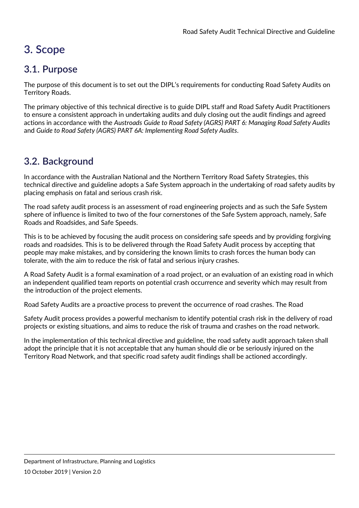# <span id="page-6-0"></span>**3. Scope**

### <span id="page-6-1"></span>**3.1. Purpose**

The purpose of this document is to set out the DIPL's requirements for conducting Road Safety Audits on Territory Roads.

The primary objective of this technical directive is to guide DIPL staff and Road Safety Audit Practitioners to ensure a consistent approach in undertaking audits and duly closing out the audit findings and agreed actions in accordance with the *Austroads Guide to Road Safety (AGRS) PART 6: Managing Road Safety Audits*  and *Guide to Road Safety (AGRS) PART 6A: Implementing Road Safety Audits*.

# <span id="page-6-2"></span>**3.2. Background**

In accordance with the Australian National and the Northern Territory Road Safety Strategies, this technical directive and guideline adopts a Safe System approach in the undertaking of road safety audits by placing emphasis on fatal and serious crash risk.

The road safety audit process is an assessment of road engineering projects and as such the Safe System sphere of influence is limited to two of the four cornerstones of the Safe System approach, namely, Safe Roads and Roadsides, and Safe Speeds.

This is to be achieved by focusing the audit process on considering safe speeds and by providing forgiving roads and roadsides. This is to be delivered through the Road Safety Audit process by accepting that people may make mistakes, and by considering the known limits to crash forces the human body can tolerate, with the aim to reduce the risk of fatal and serious injury crashes.

A Road Safety Audit is a formal examination of a road project, or an evaluation of an existing road in which an independent qualified team reports on potential crash occurrence and severity which may result from the introduction of the project elements.

Road Safety Audits are a proactive process to prevent the occurrence of road crashes. The Road

Safety Audit process provides a powerful mechanism to identify potential crash risk in the delivery of road projects or existing situations, and aims to reduce the risk of trauma and crashes on the road network.

In the implementation of this technical directive and guideline, the road safety audit approach taken shall adopt the principle that it is not acceptable that any human should die or be seriously injured on the Territory Road Network, and that specific road safety audit findings shall be actioned accordingly.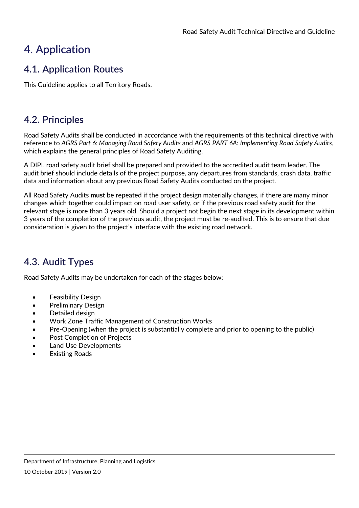# <span id="page-7-0"></span>**4. Application**

### <span id="page-7-1"></span>**4.1. Application Routes**

This Guideline applies to all Territory Roads.

### <span id="page-7-2"></span>**4.2. Principles**

Road Safety Audits shall be conducted in accordance with the requirements of this technical directive with reference to *AGRS Part 6: Managing Road Safety Audits* and *AGRS PART 6A: Implementing Road Safety Audits*, which explains the general principles of Road Safety Auditing.

A DIPL road safety audit brief shall be prepared and provided to the accredited audit team leader. The audit brief should include details of the project purpose, any departures from standards, crash data, traffic data and information about any previous Road Safety Audits conducted on the project.

All Road Safety Audits **must** be repeated if the project design materially changes, if there are many minor changes which together could impact on road user safety, or if the previous road safety audit for the relevant stage is more than 3 years old. Should a project not begin the next stage in its development within 3 years of the completion of the previous audit, the project must be re-audited. This is to ensure that due consideration is given to the project's interface with the existing road network.

### <span id="page-7-3"></span>**4.3. Audit Types**

Road Safety Audits may be undertaken for each of the stages below:

- Feasibility Design
- Preliminary Design
- Detailed design
- Work Zone Traffic Management of Construction Works
- Pre-Opening (when the project is substantially complete and prior to opening to the public)
- Post Completion of Projects
- Land Use Developments
- **Existing Roads**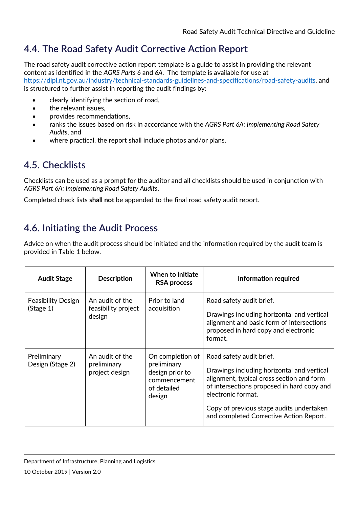# <span id="page-8-0"></span>**4.4. The Road Safety Audit Corrective Action Report**

The road safety audit corrective action report template is a guide to assist in providing the relevant content as identified in the *AGRS Parts 6* and *6A*. The template is available for use at [https://dipl.nt.gov.au/industry/technical-standards-guidelines-and-specifications/road-safety-audits,](https://dipl.nt.gov.au/industry/technical-standards-guidelines-and-specifications/road-safety-audits) and is structured to further assist in reporting the audit findings by:

- clearly identifying the section of road,
- the relevant issues.
- provides recommendations,
- ranks the issues based on risk in accordance with the *AGRS Part 6A: Implementing Road Safety Audits*, and
- where practical, the report shall include photos and/or plans.

## <span id="page-8-1"></span>**4.5. Checklists**

Checklists can be used as a prompt for the auditor and all checklists should be used in conjunction with *AGRS Part 6A: Implementing Road Safety Audits*.

Completed check lists **shall not** be appended to the final road safety audit report.

## <span id="page-8-2"></span>**4.6. Initiating the Audit Process**

Advice on when the audit process should be initiated and the information required by the audit team is provided in Table 1 below.

| <b>Audit Stage</b>                     | <b>Description</b>                               | When to initiate<br><b>RSA</b> process                                                      | Information required                                                                                                                                                                                                                                                           |
|----------------------------------------|--------------------------------------------------|---------------------------------------------------------------------------------------------|--------------------------------------------------------------------------------------------------------------------------------------------------------------------------------------------------------------------------------------------------------------------------------|
| <b>Feasibility Design</b><br>(Stage 1) | An audit of the<br>feasibility project<br>design | Prior to land<br>acquisition                                                                | Road safety audit brief.<br>Drawings including horizontal and vertical<br>alignment and basic form of intersections<br>proposed in hard copy and electronic<br>format.                                                                                                         |
| Preliminary<br>Design (Stage 2)        | An audit of the<br>preliminary<br>project design | On completion of<br>preliminary<br>design prior to<br>commencement<br>of detailed<br>design | Road safety audit brief.<br>Drawings including horizontal and vertical<br>alignment, typical cross section and form<br>of intersections proposed in hard copy and<br>electronic format.<br>Copy of previous stage audits undertaken<br>and completed Corrective Action Report. |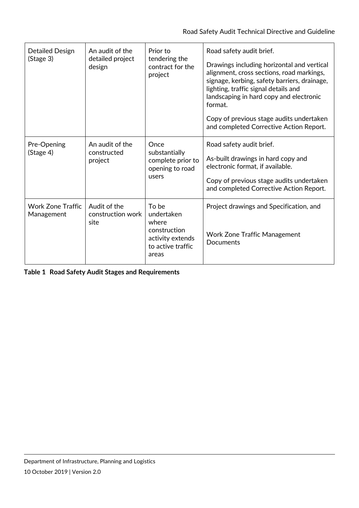| Detailed Design<br>(Stage 3)           | An audit of the<br>detailed project<br>design | Prior to<br>tendering the<br>contract for the<br>project                                       | Road safety audit brief.<br>Drawings including horizontal and vertical<br>alignment, cross sections, road markings,<br>signage, kerbing, safety barriers, drainage,<br>lighting, traffic signal details and<br>landscaping in hard copy and electronic<br>format.<br>Copy of previous stage audits undertaken<br>and completed Corrective Action Report. |
|----------------------------------------|-----------------------------------------------|------------------------------------------------------------------------------------------------|----------------------------------------------------------------------------------------------------------------------------------------------------------------------------------------------------------------------------------------------------------------------------------------------------------------------------------------------------------|
| Pre-Opening<br>(Stage 4)               | An audit of the<br>constructed<br>project     | Once<br>substantially<br>complete prior to<br>opening to road<br>users                         | Road safety audit brief.<br>As-built drawings in hard copy and<br>electronic format, if available.<br>Copy of previous stage audits undertaken<br>and completed Corrective Action Report.                                                                                                                                                                |
| <b>Work Zone Traffic</b><br>Management | Audit of the<br>construction work<br>site     | To be<br>undertaken<br>where<br>construction<br>activity extends<br>to active traffic<br>areas | Project drawings and Specification, and<br><b>Work Zone Traffic Management</b><br>Documents                                                                                                                                                                                                                                                              |

**Table 1 Road Safety Audit Stages and Requirements**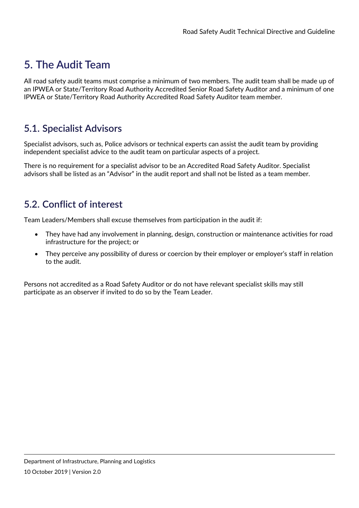# <span id="page-10-0"></span>**5. The Audit Team**

All road safety audit teams must comprise a minimum of two members. The audit team shall be made up of an IPWEA or State/Territory Road Authority Accredited Senior Road Safety Auditor and a minimum of one IPWEA or State/Territory Road Authority Accredited Road Safety Auditor team member.

#### <span id="page-10-1"></span>**5.1. Specialist Advisors**

Specialist advisors, such as, Police advisors or technical experts can assist the audit team by providing independent specialist advice to the audit team on particular aspects of a project.

There is no requirement for a specialist advisor to be an Accredited Road Safety Auditor. Specialist advisors shall be listed as an "Advisor" in the audit report and shall not be listed as a team member.

### <span id="page-10-2"></span>**5.2. Conflict of interest**

Team Leaders/Members shall excuse themselves from participation in the audit if:

- They have had any involvement in planning, design, construction or maintenance activities for road infrastructure for the project; or
- They perceive any possibility of duress or coercion by their employer or employer's staff in relation to the audit.

Persons not accredited as a Road Safety Auditor or do not have relevant specialist skills may still participate as an observer if invited to do so by the Team Leader.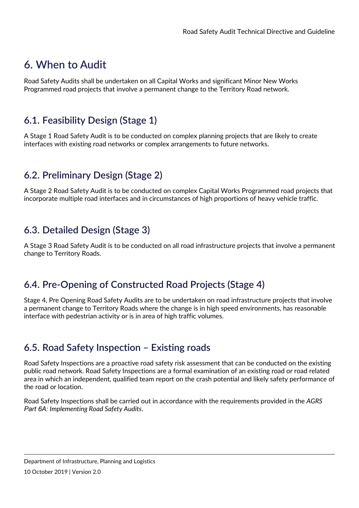# <span id="page-11-0"></span>**6. When to Audit**

Road Safety Audits shall be undertaken on all Capital Works and significant Minor New Works Programmed road projects that involve a permanent change to the Territory Road network.

### <span id="page-11-1"></span>**6.1. Feasibility Design (Stage 1)**

A Stage 1 Road Safety Audit is to be conducted on complex planning projects that are likely to create interfaces with existing road networks or complex arrangements to future networks.

#### <span id="page-11-2"></span>**6.2. Preliminary Design (Stage 2)**

A Stage 2 Road Safety Audit is to be conducted on complex Capital Works Programmed road projects that incorporate multiple road interfaces and in circumstances of high proportions of heavy vehicle traffic.

#### <span id="page-11-3"></span>**6.3. Detailed Design (Stage 3)**

A Stage 3 Road Safety Audit is to be conducted on all road infrastructure projects that involve a permanent change to Territory Roads.

#### <span id="page-11-4"></span>**6.4. Pre-Opening of Constructed Road Projects (Stage 4)**

Stage 4, Pre Opening Road Safety Audits are to be undertaken on road infrastructure projects that involve a permanent change to Territory Roads where the change is in high speed environments, has reasonable interface with pedestrian activity or is in area of high traffic volumes.

#### <span id="page-11-5"></span>**6.5. Road Safety Inspection – Existing roads**

Road Safety Inspections are a proactive road safety risk assessment that can be conducted on the existing public road network. Road Safety Inspections are a formal examination of an existing road or road related area in which an independent, qualified team report on the crash potential and likely safety performance of the road or location.

Road Safety Inspections shall be carried out in accordance with the requirements provided in the *AGRS Part 6A: Implementing Road Safety Audits*.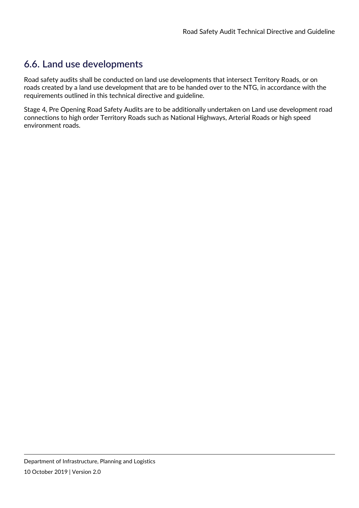### <span id="page-12-0"></span>**6.6. Land use developments**

Road safety audits shall be conducted on land use developments that intersect Territory Roads, or on roads created by a land use development that are to be handed over to the NTG, in accordance with the requirements outlined in this technical directive and guideline.

Stage 4, Pre Opening Road Safety Audits are to be additionally undertaken on Land use development road connections to high order Territory Roads such as National Highways, Arterial Roads or high speed environment roads.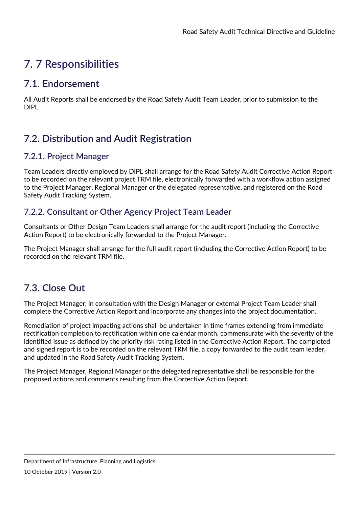# <span id="page-13-0"></span>**7. 7 Responsibilities**

#### <span id="page-13-1"></span>**7.1. Endorsement**

All Audit Reports shall be endorsed by the Road Safety Audit Team Leader, prior to submission to the DIPL.

# <span id="page-13-2"></span>**7.2. Distribution and Audit Registration**

#### <span id="page-13-3"></span>**7.2.1. Project Manager**

Team Leaders directly employed by DIPL shall arrange for the Road Safety Audit Corrective Action Report to be recorded on the relevant project TRM file, electronically forwarded with a workflow action assigned to the Project Manager, Regional Manager or the delegated representative, and registered on the Road Safety Audit Tracking System.

#### <span id="page-13-4"></span>**7.2.2. Consultant or Other Agency Project Team Leader**

Consultants or Other Design Team Leaders shall arrange for the audit report (including the Corrective Action Report) to be electronically forwarded to the Project Manager.

The Project Manager shall arrange for the full audit report (including the Corrective Action Report) to be recorded on the relevant TRM file.

### <span id="page-13-5"></span>**7.3. Close Out**

The Project Manager, in consultation with the Design Manager or external Project Team Leader shall complete the Corrective Action Report and incorporate any changes into the project documentation.

Remediation of project impacting actions shall be undertaken in time frames extending from immediate rectification completion to rectification within one calendar month, commensurate with the severity of the identified issue as defined by the priority risk rating listed in the Corrective Action Report. The completed and signed report is to be recorded on the relevant TRM file, a copy forwarded to the audit team leader, and updated in the Road Safety Audit Tracking System.

The Project Manager, Regional Manager or the delegated representative shall be responsible for the proposed actions and comments resulting from the Corrective Action Report.